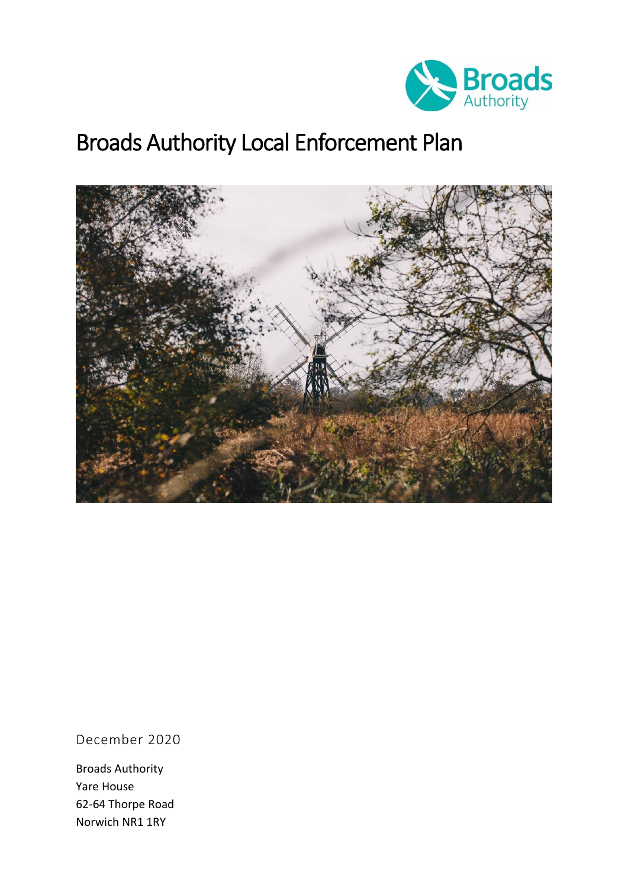

# Broads Authority Local Enforcement Plan



December 2020

Broads Authority Yare House 62-64 Thorpe Road Norwich NR1 1RY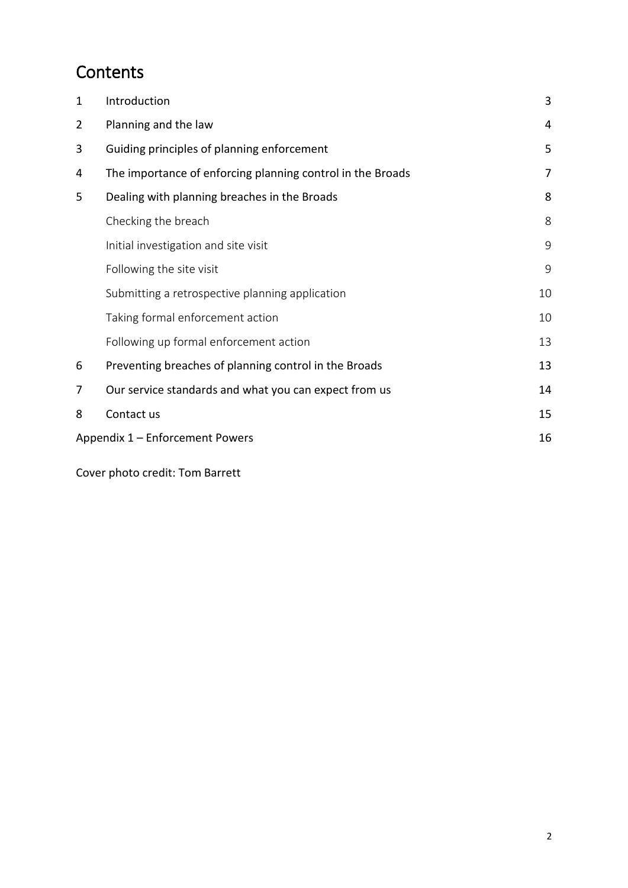## **Contents**

| 1              | Introduction                                               | 3  |  |  |
|----------------|------------------------------------------------------------|----|--|--|
| $\overline{2}$ | Planning and the law                                       | 4  |  |  |
| 3              | Guiding principles of planning enforcement                 | 5  |  |  |
| 4              | The importance of enforcing planning control in the Broads | 7  |  |  |
| 5              | Dealing with planning breaches in the Broads               | 8  |  |  |
|                | Checking the breach                                        | 8  |  |  |
|                | Initial investigation and site visit                       | 9  |  |  |
|                | Following the site visit                                   | 9  |  |  |
|                | Submitting a retrospective planning application            | 10 |  |  |
|                | Taking formal enforcement action                           | 10 |  |  |
|                | Following up formal enforcement action                     | 13 |  |  |
| 6              | Preventing breaches of planning control in the Broads      | 13 |  |  |
| 7              | Our service standards and what you can expect from us      | 14 |  |  |
| 8              | Contact us                                                 | 15 |  |  |
|                | 16<br>Appendix 1 – Enforcement Powers                      |    |  |  |
|                |                                                            |    |  |  |

Cover photo credit: Tom Barrett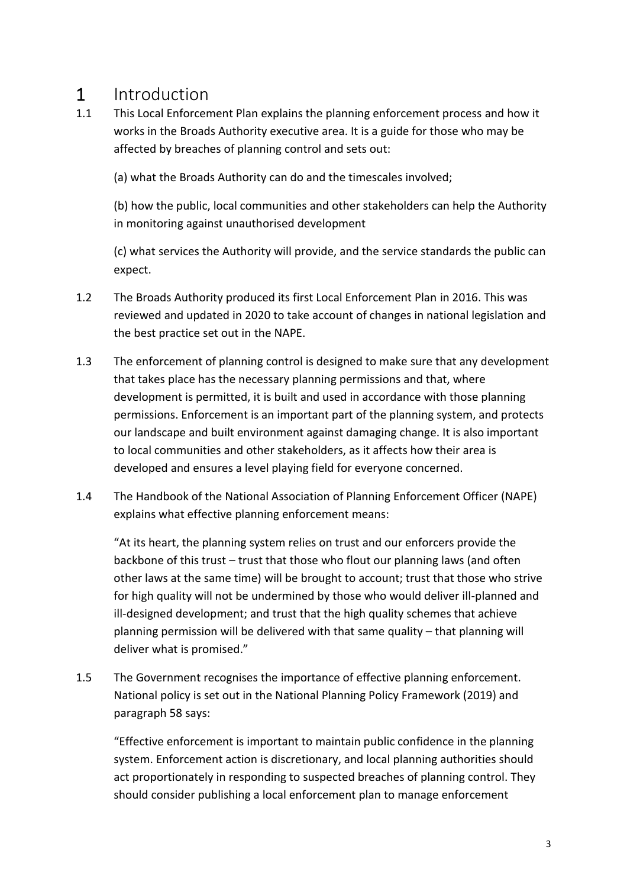### <span id="page-2-0"></span>1 Introduction

1.1 This Local Enforcement Plan explains the planning enforcement process and how it works in the Broads Authority executive area. It is a guide for those who may be affected by breaches of planning control and sets out:

(a) what the Broads Authority can do and the timescales involved;

(b) how the public, local communities and other stakeholders can help the Authority in monitoring against unauthorised development

(c) what services the Authority will provide, and the service standards the public can expect.

- 1.2 The Broads Authority produced its first Local Enforcement Plan in 2016. This was reviewed and updated in 2020 to take account of changes in national legislation and the best practice set out in the NAPE.
- 1.3 The enforcement of planning control is designed to make sure that any development that takes place has the necessary planning permissions and that, where development is permitted, it is built and used in accordance with those planning permissions. Enforcement is an important part of the planning system, and protects our landscape and built environment against damaging change. It is also important to local communities and other stakeholders, as it affects how their area is developed and ensures a level playing field for everyone concerned.
- 1.4 The Handbook of the National Association of Planning Enforcement Officer (NAPE) explains what effective planning enforcement means:

"At its heart, the planning system relies on trust and our enforcers provide the backbone of this trust – trust that those who flout our planning laws (and often other laws at the same time) will be brought to account; trust that those who strive for high quality will not be undermined by those who would deliver ill-planned and ill-designed development; and trust that the high quality schemes that achieve planning permission will be delivered with that same quality – that planning will deliver what is promised."

1.5 The Government recognises the importance of effective planning enforcement. National policy is set out in the National Planning Policy Framework (2019) and paragraph 58 says:

"Effective enforcement is important to maintain public confidence in the planning system. Enforcement action is discretionary, and local planning authorities should act proportionately in responding to suspected breaches of planning control. They should consider publishing a local enforcement plan to manage enforcement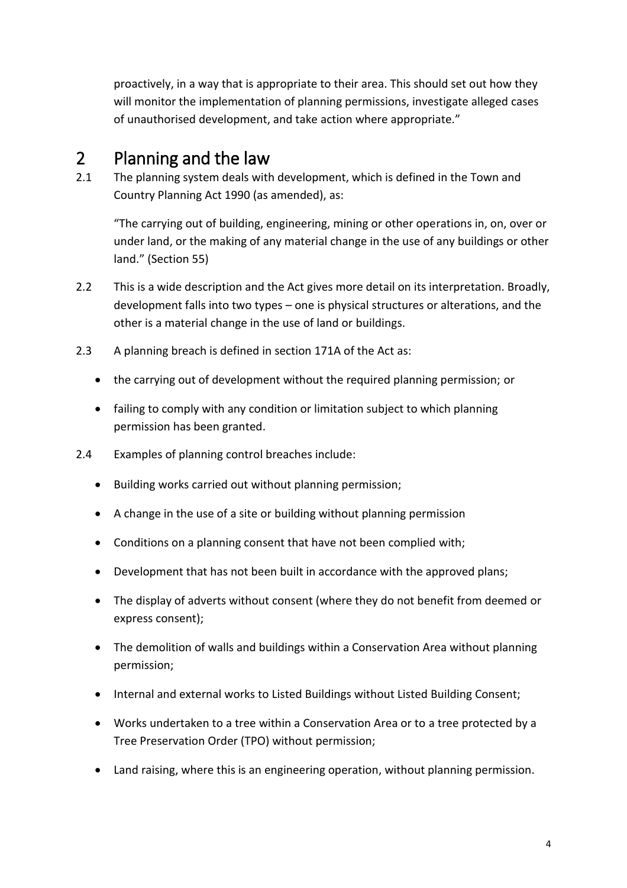proactively, in a way that is appropriate to their area. This should set out how they will monitor the implementation of planning permissions, investigate alleged cases of unauthorised development, and take action where appropriate."

## <span id="page-3-0"></span>2 Planning and the law

2.1 The planning system deals with development, which is defined in the Town and Country Planning Act 1990 (as amended), as:

"The carrying out of building, engineering, mining or other operations in, on, over or under land, or the making of any material change in the use of any buildings or other land." (Section 55)

- 2.2 This is a wide description and the Act gives more detail on its interpretation. Broadly, development falls into two types – one is physical structures or alterations, and the other is a material change in the use of land or buildings.
- 2.3 A planning breach is defined in section 171A of the Act as:
	- the carrying out of development without the required planning permission; or
	- failing to comply with any condition or limitation subject to which planning permission has been granted.
- 2.4 Examples of planning control breaches include:
	- Building works carried out without planning permission;
	- A change in the use of a site or building without planning permission
	- Conditions on a planning consent that have not been complied with;
	- Development that has not been built in accordance with the approved plans;
	- The display of adverts without consent (where they do not benefit from deemed or express consent);
	- The demolition of walls and buildings within a Conservation Area without planning permission;
	- Internal and external works to Listed Buildings without Listed Building Consent;
	- Works undertaken to a tree within a Conservation Area or to a tree protected by a Tree Preservation Order (TPO) without permission;
	- Land raising, where this is an engineering operation, without planning permission.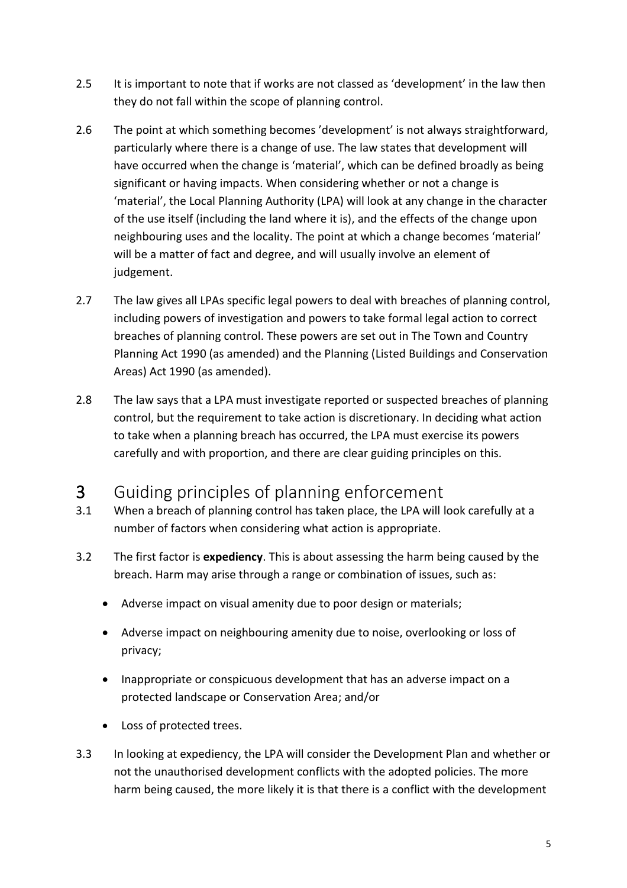- 2.5 It is important to note that if works are not classed as 'development' in the law then they do not fall within the scope of planning control.
- 2.6 The point at which something becomes 'development' is not always straightforward, particularly where there is a change of use. The law states that development will have occurred when the change is 'material', which can be defined broadly as being significant or having impacts. When considering whether or not a change is 'material', the Local Planning Authority (LPA) will look at any change in the character of the use itself (including the land where it is), and the effects of the change upon neighbouring uses and the locality. The point at which a change becomes 'material' will be a matter of fact and degree, and will usually involve an element of judgement.
- 2.7 The law gives all LPAs specific legal powers to deal with breaches of planning control, including powers of investigation and powers to take formal legal action to correct breaches of planning control. These powers are set out in The Town and Country Planning Act 1990 (as amended) and the Planning (Listed Buildings and Conservation Areas) Act 1990 (as amended).
- 2.8 The law says that a LPA must investigate reported or suspected breaches of planning control, but the requirement to take action is discretionary. In deciding what action to take when a planning breach has occurred, the LPA must exercise its powers carefully and with proportion, and there are clear guiding principles on this.

## <span id="page-4-0"></span>3 Guiding principles of planning enforcement

- 3.1 When a breach of planning control has taken place, the LPA will look carefully at a number of factors when considering what action is appropriate.
- 3.2 The first factor is **expediency**. This is about assessing the harm being caused by the breach. Harm may arise through a range or combination of issues, such as:
	- Adverse impact on visual amenity due to poor design or materials;
	- Adverse impact on neighbouring amenity due to noise, overlooking or loss of privacy;
	- Inappropriate or conspicuous development that has an adverse impact on a protected landscape or Conservation Area; and/or
	- Loss of protected trees.
- 3.3 In looking at expediency, the LPA will consider the Development Plan and whether or not the unauthorised development conflicts with the adopted policies. The more harm being caused, the more likely it is that there is a conflict with the development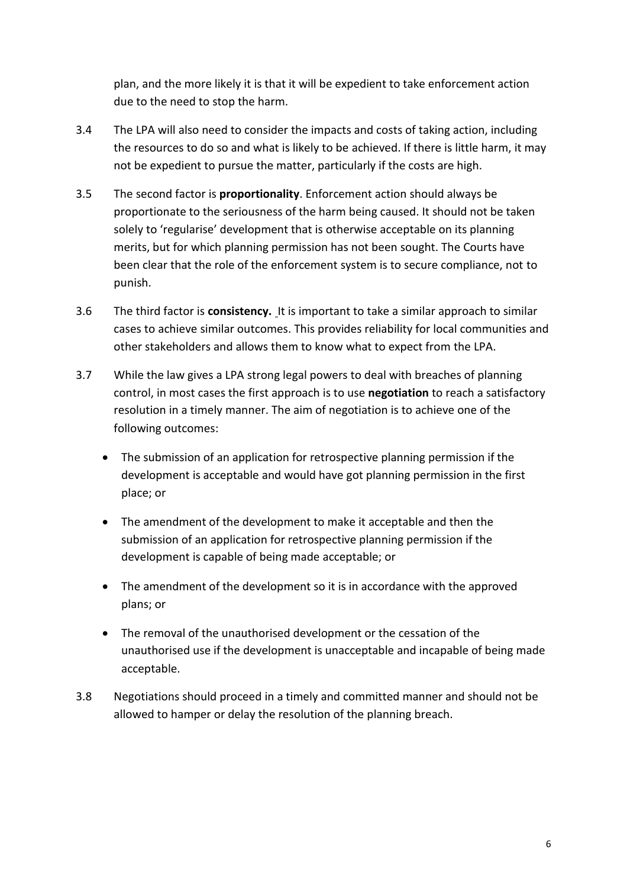plan, and the more likely it is that it will be expedient to take enforcement action due to the need to stop the harm.

- 3.4 The LPA will also need to consider the impacts and costs of taking action, including the resources to do so and what is likely to be achieved. If there is little harm, it may not be expedient to pursue the matter, particularly if the costs are high.
- 3.5 The second factor is **proportionality**. Enforcement action should always be proportionate to the seriousness of the harm being caused. It should not be taken solely to 'regularise' development that is otherwise acceptable on its planning merits, but for which planning permission has not been sought. The Courts have been clear that the role of the enforcement system is to secure compliance, not to punish.
- 3.6 The third factor is **consistency.** It is important to take a similar approach to similar cases to achieve similar outcomes. This provides reliability for local communities and other stakeholders and allows them to know what to expect from the LPA.
- 3.7 While the law gives a LPA strong legal powers to deal with breaches of planning control, in most cases the first approach is to use **negotiation** to reach a satisfactory resolution in a timely manner. The aim of negotiation is to achieve one of the following outcomes:
	- The submission of an application for retrospective planning permission if the development is acceptable and would have got planning permission in the first place; or
	- The amendment of the development to make it acceptable and then the submission of an application for retrospective planning permission if the development is capable of being made acceptable; or
	- The amendment of the development so it is in accordance with the approved plans; or
	- The removal of the unauthorised development or the cessation of the unauthorised use if the development is unacceptable and incapable of being made acceptable.
- 3.8 Negotiations should proceed in a timely and committed manner and should not be allowed to hamper or delay the resolution of the planning breach.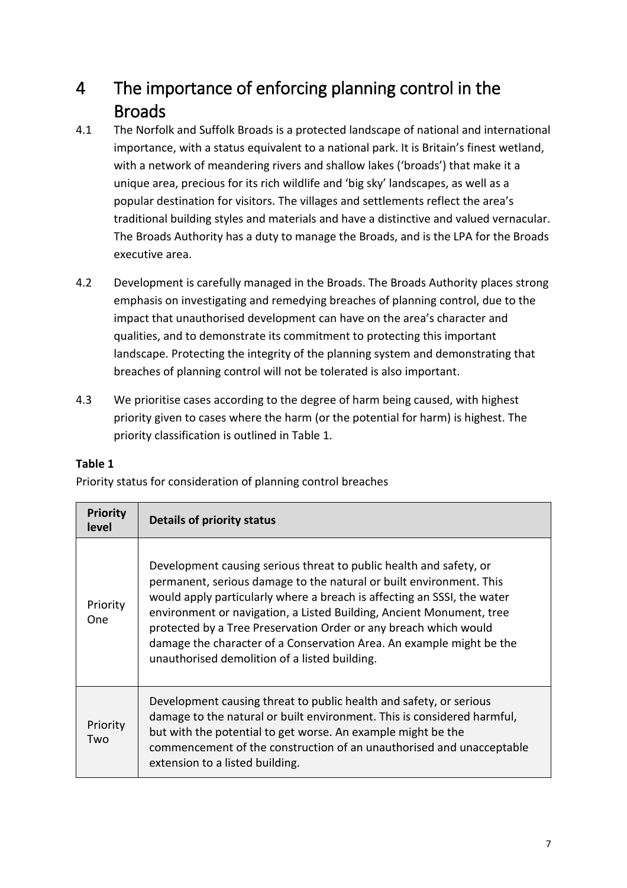## <span id="page-6-0"></span>4 The importance of enforcing planning control in the Broads

- 4.1 The Norfolk and Suffolk Broads is a protected landscape of national and international importance, with a status equivalent to a national park. It is Britain's finest wetland, with a network of meandering rivers and shallow lakes ('broads') that make it a unique area, precious for its rich wildlife and 'big sky' landscapes, as well as a popular destination for visitors. The villages and settlements reflect the area's traditional building styles and materials and have a distinctive and valued vernacular. The Broads Authority has a duty to manage the Broads, and is the LPA for the Broads executive area.
- 4.2 Development is carefully managed in the Broads. The Broads Authority places strong emphasis on investigating and remedying breaches of planning control, due to the impact that unauthorised development can have on the area's character and qualities, and to demonstrate its commitment to protecting this important landscape. Protecting the integrity of the planning system and demonstrating that breaches of planning control will not be tolerated is also important.
- 4.3 We prioritise cases according to the degree of harm being caused, with highest priority given to cases where the harm (or the potential for harm) is highest. The priority classification is outlined in Table 1.

#### **Table 1**

Priority status for consideration of planning control breaches

| <b>Priority</b><br>level | <b>Details of priority status</b>                                                                                                                                                                                                                                                                                                                                                                                                                                                         |
|--------------------------|-------------------------------------------------------------------------------------------------------------------------------------------------------------------------------------------------------------------------------------------------------------------------------------------------------------------------------------------------------------------------------------------------------------------------------------------------------------------------------------------|
| Priority<br>One.         | Development causing serious threat to public health and safety, or<br>permanent, serious damage to the natural or built environment. This<br>would apply particularly where a breach is affecting an SSSI, the water<br>environment or navigation, a Listed Building, Ancient Monument, tree<br>protected by a Tree Preservation Order or any breach which would<br>damage the character of a Conservation Area. An example might be the<br>unauthorised demolition of a listed building. |
| Priority<br>Two          | Development causing threat to public health and safety, or serious<br>damage to the natural or built environment. This is considered harmful,<br>but with the potential to get worse. An example might be the<br>commencement of the construction of an unauthorised and unacceptable<br>extension to a listed building.                                                                                                                                                                  |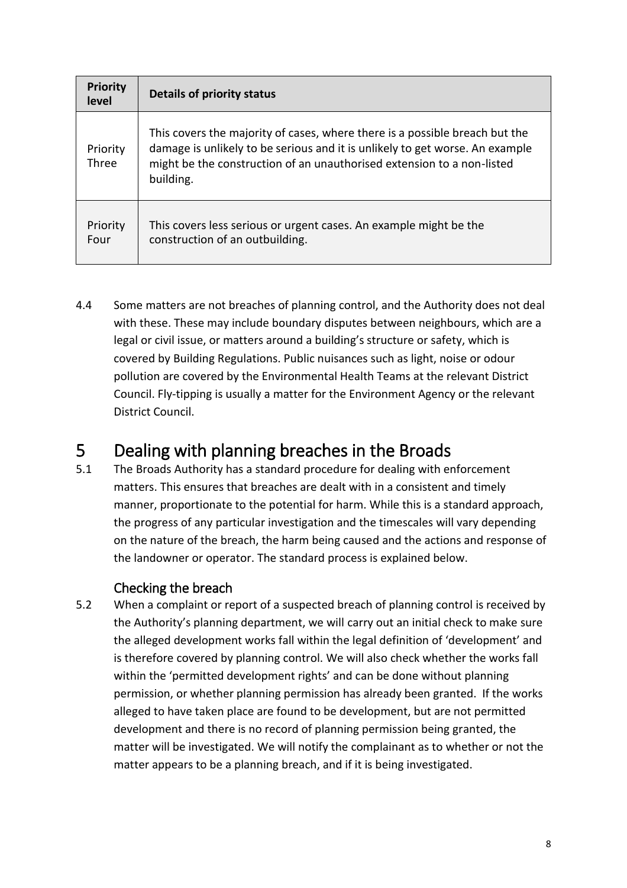| <b>Priority</b><br>level | Details of priority status                                                                                                                                                                                                                         |
|--------------------------|----------------------------------------------------------------------------------------------------------------------------------------------------------------------------------------------------------------------------------------------------|
| Priority<br>Three        | This covers the majority of cases, where there is a possible breach but the<br>damage is unlikely to be serious and it is unlikely to get worse. An example<br>might be the construction of an unauthorised extension to a non-listed<br>building. |
| Priority<br>Four         | This covers less serious or urgent cases. An example might be the<br>construction of an outbuilding.                                                                                                                                               |

4.4 Some matters are not breaches of planning control, and the Authority does not deal with these. These may include boundary disputes between neighbours, which are a legal or civil issue, or matters around a building's structure or safety, which is covered by Building Regulations. Public nuisances such as light, noise or odour pollution are covered by the Environmental Health Teams at the relevant District Council. Fly-tipping is usually a matter for the Environment Agency or the relevant District Council.

## <span id="page-7-0"></span>5 Dealing with planning breaches in the Broads

5.1 The Broads Authority has a standard procedure for dealing with enforcement matters. This ensures that breaches are dealt with in a consistent and timely manner, proportionate to the potential for harm. While this is a standard approach, the progress of any particular investigation and the timescales will vary depending on the nature of the breach, the harm being caused and the actions and response of the landowner or operator. The standard process is explained below.

#### Checking the breach

<span id="page-7-1"></span>5.2 When a complaint or report of a suspected breach of planning control is received by the Authority's planning department, we will carry out an initial check to make sure the alleged development works fall within the legal definition of 'development' and is therefore covered by planning control. We will also check whether the works fall within the 'permitted development rights' and can be done without planning permission, or whether planning permission has already been granted. If the works alleged to have taken place are found to be development, but are not permitted development and there is no record of planning permission being granted, the matter will be investigated. We will notify the complainant as to whether or not the matter appears to be a planning breach, and if it is being investigated.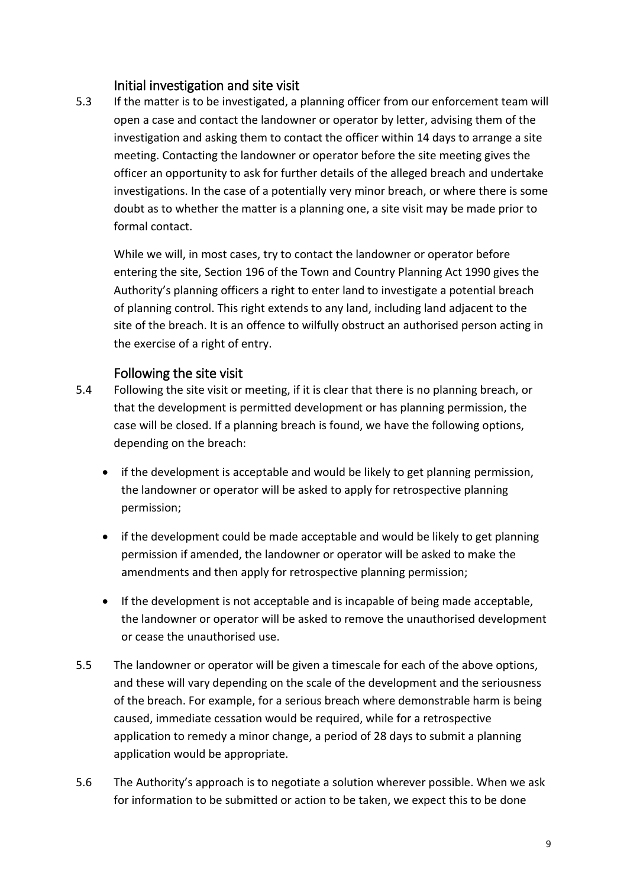#### <span id="page-8-0"></span>Initial investigation and site visit

5.3 If the matter is to be investigated, a planning officer from our enforcement team will open a case and contact the landowner or operator by letter, advising them of the investigation and asking them to contact the officer within 14 days to arrange a site meeting. Contacting the landowner or operator before the site meeting gives the officer an opportunity to ask for further details of the alleged breach and undertake investigations. In the case of a potentially very minor breach, or where there is some doubt as to whether the matter is a planning one, a site visit may be made prior to formal contact.

While we will, in most cases, try to contact the landowner or operator before entering the site, Section 196 of the Town and Country Planning Act 1990 gives the Authority's planning officers a right to enter land to investigate a potential breach of planning control. This right extends to any land, including land adjacent to the site of the breach. It is an offence to wilfully obstruct an authorised person acting in the exercise of a right of entry.

#### Following the site visit

- <span id="page-8-1"></span>5.4 Following the site visit or meeting, if it is clear that there is no planning breach, or that the development is permitted development or has planning permission, the case will be closed. If a planning breach is found, we have the following options, depending on the breach:
	- if the development is acceptable and would be likely to get planning permission, the landowner or operator will be asked to apply for retrospective planning permission;
	- if the development could be made acceptable and would be likely to get planning permission if amended, the landowner or operator will be asked to make the amendments and then apply for retrospective planning permission;
	- If the development is not acceptable and is incapable of being made acceptable, the landowner or operator will be asked to remove the unauthorised development or cease the unauthorised use.
- 5.5 The landowner or operator will be given a timescale for each of the above options, and these will vary depending on the scale of the development and the seriousness of the breach. For example, for a serious breach where demonstrable harm is being caused, immediate cessation would be required, while for a retrospective application to remedy a minor change, a period of 28 days to submit a planning application would be appropriate.
- 5.6 The Authority's approach is to negotiate a solution wherever possible. When we ask for information to be submitted or action to be taken, we expect this to be done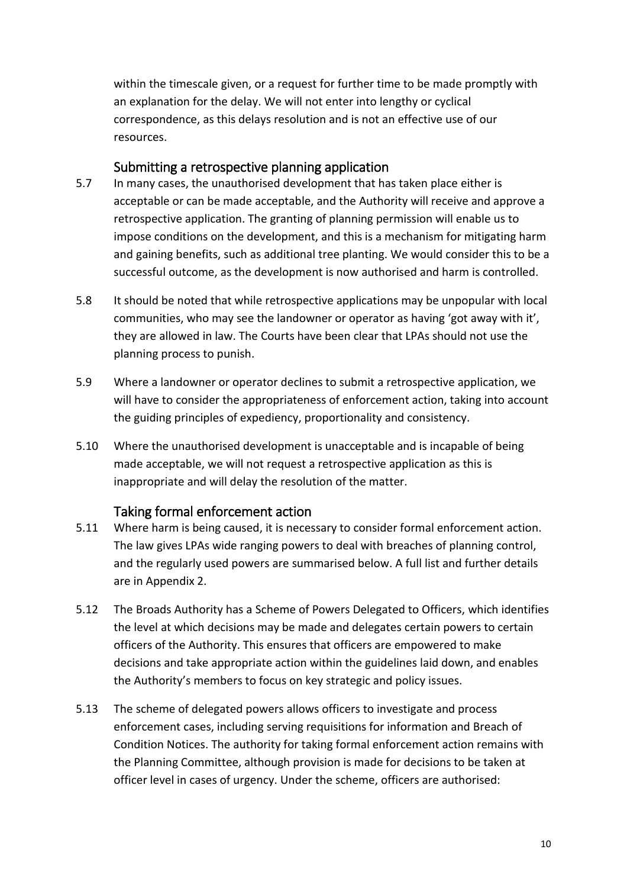within the timescale given, or a request for further time to be made promptly with an explanation for the delay. We will not enter into lengthy or cyclical correspondence, as this delays resolution and is not an effective use of our resources.

#### Submitting a retrospective planning application

- <span id="page-9-0"></span>5.7 In many cases, the unauthorised development that has taken place either is acceptable or can be made acceptable, and the Authority will receive and approve a retrospective application. The granting of planning permission will enable us to impose conditions on the development, and this is a mechanism for mitigating harm and gaining benefits, such as additional tree planting. We would consider this to be a successful outcome, as the development is now authorised and harm is controlled.
- 5.8 It should be noted that while retrospective applications may be unpopular with local communities, who may see the landowner or operator as having 'got away with it', they are allowed in law. The Courts have been clear that LPAs should not use the planning process to punish.
- 5.9 Where a landowner or operator declines to submit a retrospective application, we will have to consider the appropriateness of enforcement action, taking into account the guiding principles of expediency, proportionality and consistency.
- 5.10 Where the unauthorised development is unacceptable and is incapable of being made acceptable, we will not request a retrospective application as this is inappropriate and will delay the resolution of the matter.

#### Taking formal enforcement action

- <span id="page-9-1"></span>5.11 Where harm is being caused, it is necessary to consider formal enforcement action. The law gives LPAs wide ranging powers to deal with breaches of planning control, and the regularly used powers are summarised below. A full list and further details are in Appendix 2.
- 5.12 The Broads Authority has a Scheme of Powers Delegated to Officers, which identifies the level at which decisions may be made and delegates certain powers to certain officers of the Authority. This ensures that officers are empowered to make decisions and take appropriate action within the guidelines laid down, and enables the Authority's members to focus on key strategic and policy issues.
- 5.13 The scheme of delegated powers allows officers to investigate and process enforcement cases, including serving requisitions for information and Breach of Condition Notices. The authority for taking formal enforcement action remains with the Planning Committee, although provision is made for decisions to be taken at officer level in cases of urgency. Under the scheme, officers are authorised: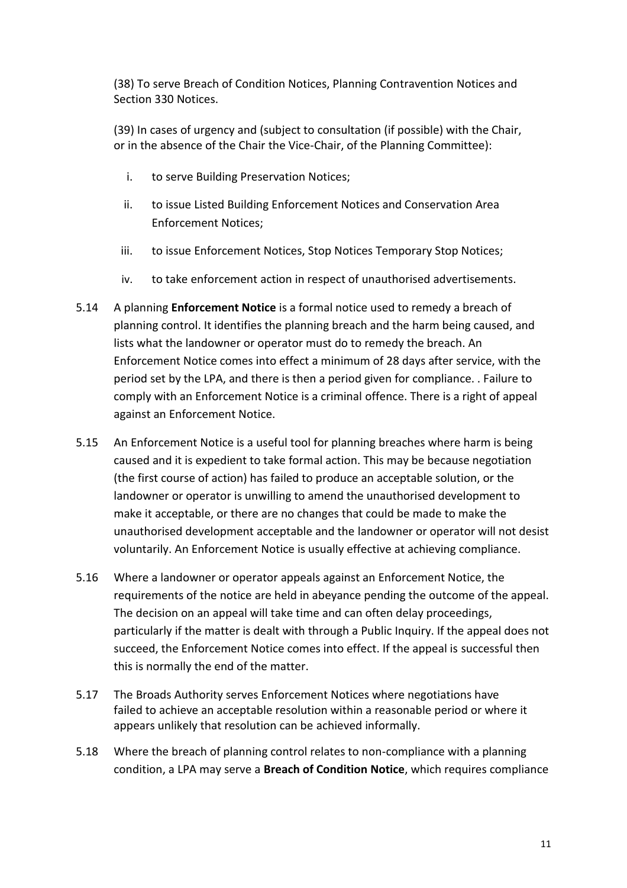(38) To serve Breach of Condition Notices, Planning Contravention Notices and Section 330 Notices.

(39) In cases of urgency and (subject to consultation (if possible) with the Chair, or in the absence of the Chair the Vice-Chair, of the Planning Committee):

- i. to serve Building Preservation Notices;
- ii. to issue Listed Building Enforcement Notices and Conservation Area Enforcement Notices;
- iii. to issue Enforcement Notices, Stop Notices Temporary Stop Notices;
- iv. to take enforcement action in respect of unauthorised advertisements.
- 5.14 A planning **Enforcement Notice** is a formal notice used to remedy a breach of planning control. It identifies the planning breach and the harm being caused, and lists what the landowner or operator must do to remedy the breach. An Enforcement Notice comes into effect a minimum of 28 days after service, with the period set by the LPA, and there is then a period given for compliance. . Failure to comply with an Enforcement Notice is a criminal offence. There is a right of appeal against an Enforcement Notice.
- 5.15 An Enforcement Notice is a useful tool for planning breaches where harm is being caused and it is expedient to take formal action. This may be because negotiation (the first course of action) has failed to produce an acceptable solution, or the landowner or operator is unwilling to amend the unauthorised development to make it acceptable, or there are no changes that could be made to make the unauthorised development acceptable and the landowner or operator will not desist voluntarily. An Enforcement Notice is usually effective at achieving compliance.
- 5.16 Where a landowner or operator appeals against an Enforcement Notice, the requirements of the notice are held in abeyance pending the outcome of the appeal. The decision on an appeal will take time and can often delay proceedings, particularly if the matter is dealt with through a Public Inquiry. If the appeal does not succeed, the Enforcement Notice comes into effect. If the appeal is successful then this is normally the end of the matter.
- 5.17 The Broads Authority serves Enforcement Notices where negotiations have failed to achieve an acceptable resolution within a reasonable period or where it appears unlikely that resolution can be achieved informally.
- 5.18 Where the breach of planning control relates to non-compliance with a planning condition, a LPA may serve a **Breach of Condition Notice**, which requires compliance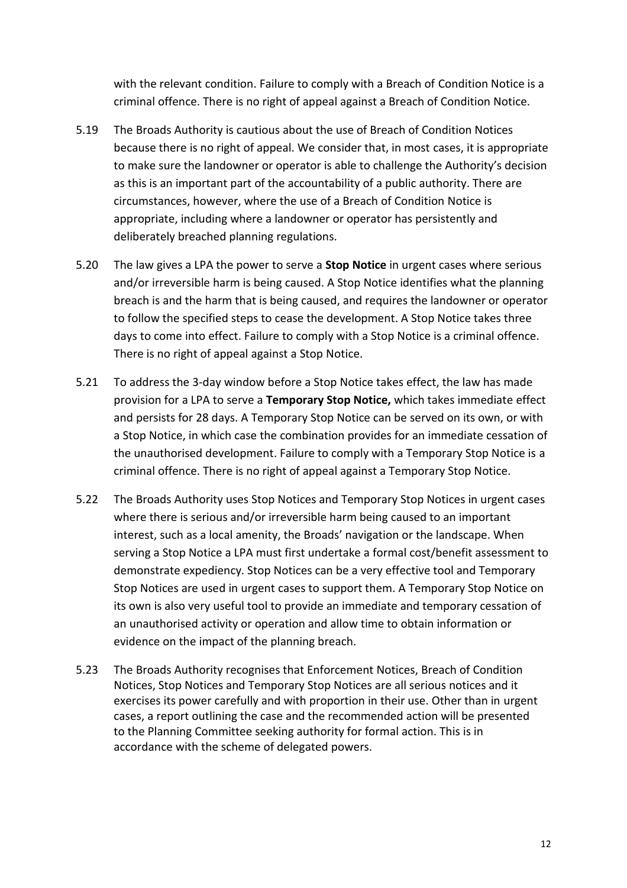with the relevant condition. Failure to comply with a Breach of Condition Notice is a criminal offence. There is no right of appeal against a Breach of Condition Notice.

- 5.19 The Broads Authority is cautious about the use of Breach of Condition Notices because there is no right of appeal. We consider that, in most cases, it is appropriate to make sure the landowner or operator is able to challenge the Authority's decision as this is an important part of the accountability of a public authority. There are circumstances, however, where the use of a Breach of Condition Notice is appropriate, including where a landowner or operator has persistently and deliberately breached planning regulations.
- 5.20 The law gives a LPA the power to serve a **Stop Notice** in urgent cases where serious and/or irreversible harm is being caused. A Stop Notice identifies what the planning breach is and the harm that is being caused, and requires the landowner or operator to follow the specified steps to cease the development. A Stop Notice takes three days to come into effect. Failure to comply with a Stop Notice is a criminal offence. There is no right of appeal against a Stop Notice.
- 5.21 To address the 3-day window before a Stop Notice takes effect, the law has made provision for a LPA to serve a **Temporary Stop Notice,** which takes immediate effect and persists for 28 days. A Temporary Stop Notice can be served on its own, or with a Stop Notice, in which case the combination provides for an immediate cessation of the unauthorised development. Failure to comply with a Temporary Stop Notice is a criminal offence. There is no right of appeal against a Temporary Stop Notice.
- 5.22 The Broads Authority uses Stop Notices and Temporary Stop Notices in urgent cases where there is serious and/or irreversible harm being caused to an important interest, such as a local amenity, the Broads' navigation or the landscape. When serving a Stop Notice a LPA must first undertake a formal cost/benefit assessment to demonstrate expediency. Stop Notices can be a very effective tool and Temporary Stop Notices are used in urgent cases to support them. A Temporary Stop Notice on its own is also very useful tool to provide an immediate and temporary cessation of an unauthorised activity or operation and allow time to obtain information or evidence on the impact of the planning breach.
- 5.23 The Broads Authority recognises that Enforcement Notices, Breach of Condition Notices, Stop Notices and Temporary Stop Notices are all serious notices and it exercises its power carefully and with proportion in their use. Other than in urgent cases, a report outlining the case and the recommended action will be presented to the Planning Committee seeking authority for formal action. This is in accordance with the scheme of delegated powers.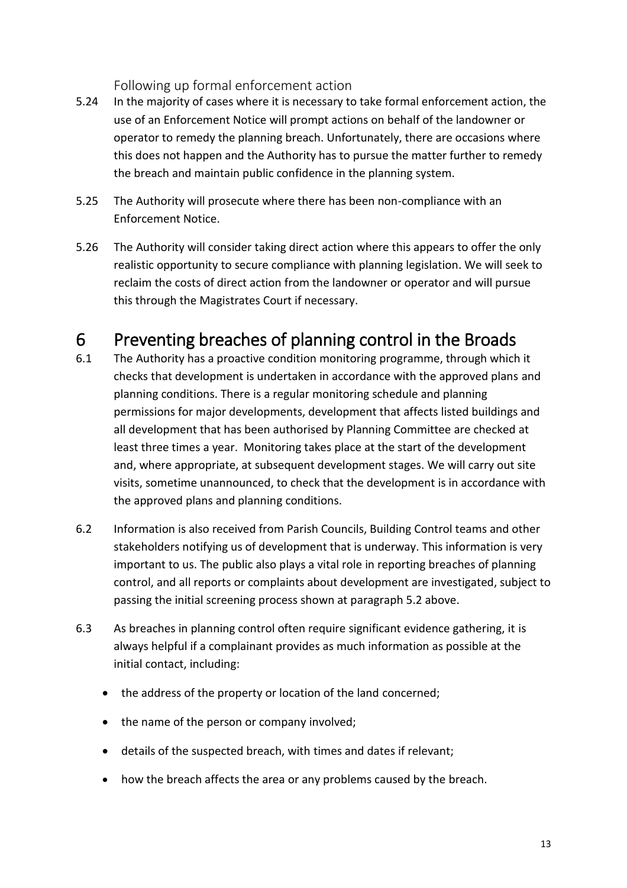<span id="page-12-0"></span>Following up formal enforcement action

- 5.24 In the majority of cases where it is necessary to take formal enforcement action, the use of an Enforcement Notice will prompt actions on behalf of the landowner or operator to remedy the planning breach. Unfortunately, there are occasions where this does not happen and the Authority has to pursue the matter further to remedy the breach and maintain public confidence in the planning system.
- 5.25 The Authority will prosecute where there has been non-compliance with an Enforcement Notice.
- 5.26 The Authority will consider taking direct action where this appears to offer the only realistic opportunity to secure compliance with planning legislation. We will seek to reclaim the costs of direct action from the landowner or operator and will pursue this through the Magistrates Court if necessary.

## <span id="page-12-1"></span>6 Preventing breaches of planning control in the Broads

- 6.1 The Authority has a proactive condition monitoring programme, through which it checks that development is undertaken in accordance with the approved plans and planning conditions. There is a regular monitoring schedule and planning permissions for major developments, development that affects listed buildings and all development that has been authorised by Planning Committee are checked at least three times a year. Monitoring takes place at the start of the development and, where appropriate, at subsequent development stages. We will carry out site visits, sometime unannounced, to check that the development is in accordance with the approved plans and planning conditions.
- 6.2 Information is also received from Parish Councils, Building Control teams and other stakeholders notifying us of development that is underway. This information is very important to us. The public also plays a vital role in reporting breaches of planning control, and all reports or complaints about development are investigated, subject to passing the initial screening process shown at paragraph 5.2 above.
- 6.3 As breaches in planning control often require significant evidence gathering, it is always helpful if a complainant provides as much information as possible at the initial contact, including:
	- the address of the property or location of the land concerned;
	- the name of the person or company involved;
	- details of the suspected breach, with times and dates if relevant;
	- how the breach affects the area or any problems caused by the breach.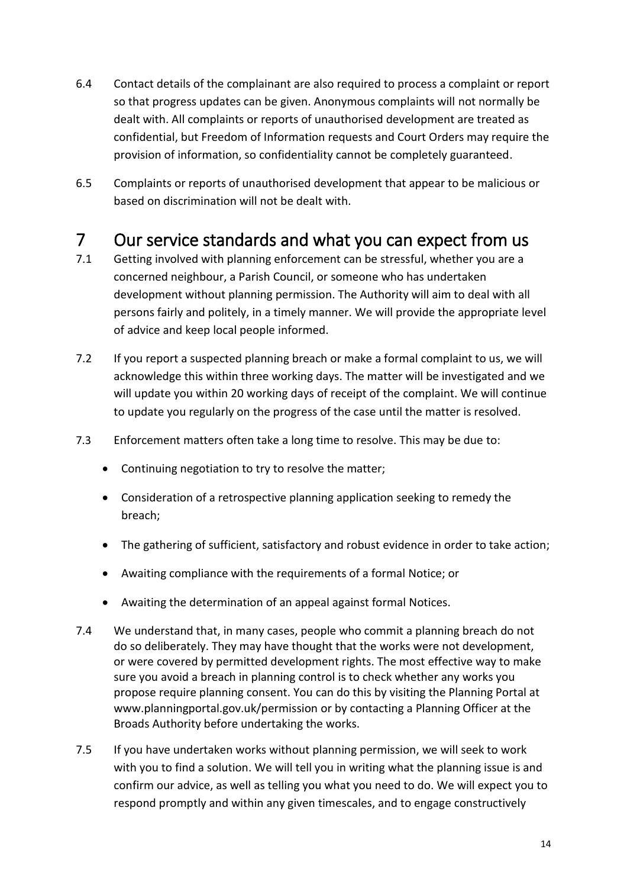- 6.4 Contact details of the complainant are also required to process a complaint or report so that progress updates can be given. Anonymous complaints will not normally be dealt with. All complaints or reports of unauthorised development are treated as confidential, but Freedom of Information requests and Court Orders may require the provision of information, so confidentiality cannot be completely guaranteed.
- 6.5 Complaints or reports of unauthorised development that appear to be malicious or based on discrimination will not be dealt with.

## <span id="page-13-0"></span>7 Our service standards and what you can expect from us

- 7.1 Getting involved with planning enforcement can be stressful, whether you are a concerned neighbour, a Parish Council, or someone who has undertaken development without planning permission. The Authority will aim to deal with all persons fairly and politely, in a timely manner. We will provide the appropriate level of advice and keep local people informed.
- 7.2 If you report a suspected planning breach or make a formal complaint to us, we will acknowledge this within three working days. The matter will be investigated and we will update you within 20 working days of receipt of the complaint. We will continue to update you regularly on the progress of the case until the matter is resolved.
- 7.3 Enforcement matters often take a long time to resolve. This may be due to:
	- Continuing negotiation to try to resolve the matter;
	- Consideration of a retrospective planning application seeking to remedy the breach;
	- The gathering of sufficient, satisfactory and robust evidence in order to take action;
	- Awaiting compliance with the requirements of a formal Notice; or
	- Awaiting the determination of an appeal against formal Notices.
- 7.4 We understand that, in many cases, people who commit a planning breach do not do so deliberately. They may have thought that the works were not development, or were covered by permitted development rights. The most effective way to make sure you avoid a breach in planning control is to check whether any works you propose require planning consent. You can do this by visiting the Planning Portal at [www.planningportal.gov.uk/permission o](http://www.planningportal.gov.uk/permission)r by contacting a Planning Officer at the Broads Authority before undertaking the works.
- 7.5 If you have undertaken works without planning permission, we will seek to work with you to find a solution. We will tell you in writing what the planning issue is and confirm our advice, as well as telling you what you need to do. We will expect you to respond promptly and within any given timescales, and to engage constructively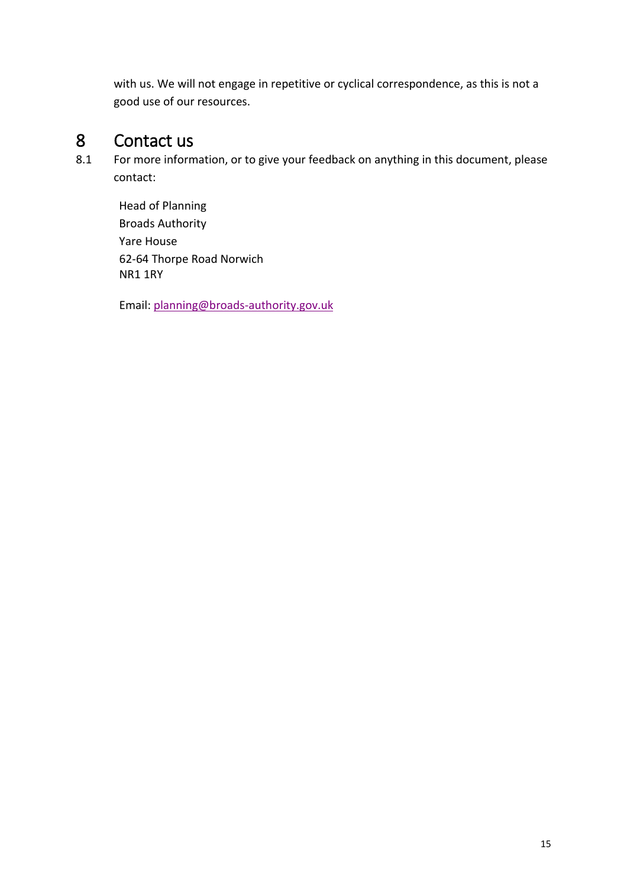with us. We will not engage in repetitive or cyclical correspondence, as this is not a good use of our resources.

# <span id="page-14-0"></span>8 Contact us<br>8.1 For more inform

For more information, or to give your feedback on anything in this document, please contact:

Head of Planning Broads Authority Yare House 62-64 Thorpe Road Norwich NR1 1RY

Email[: planning@broads-authority.gov.uk](mailto:planning@broads-authority.gov.uk)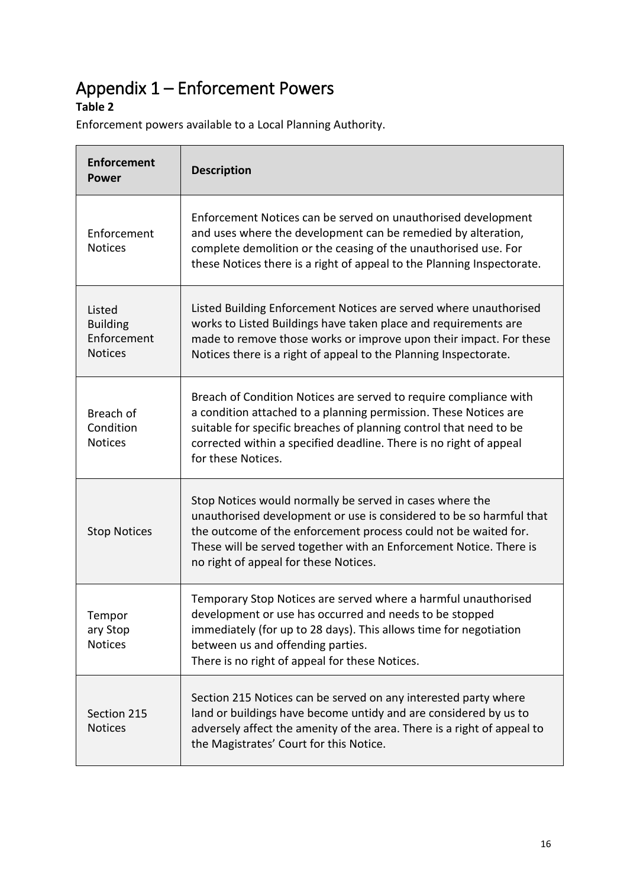## <span id="page-15-0"></span>Appendix 1 – Enforcement Powers

#### **Table 2**

Enforcement powers available to a Local Planning Authority.

| <b>Enforcement</b><br><b>Power</b>                         | <b>Description</b>                                                                                                                                                                                                                                                                                                |
|------------------------------------------------------------|-------------------------------------------------------------------------------------------------------------------------------------------------------------------------------------------------------------------------------------------------------------------------------------------------------------------|
| Enforcement<br><b>Notices</b>                              | Enforcement Notices can be served on unauthorised development<br>and uses where the development can be remedied by alteration,<br>complete demolition or the ceasing of the unauthorised use. For<br>these Notices there is a right of appeal to the Planning Inspectorate.                                       |
| Listed<br><b>Building</b><br>Enforcement<br><b>Notices</b> | Listed Building Enforcement Notices are served where unauthorised<br>works to Listed Buildings have taken place and requirements are<br>made to remove those works or improve upon their impact. For these<br>Notices there is a right of appeal to the Planning Inspectorate.                                    |
| Breach of<br>Condition<br><b>Notices</b>                   | Breach of Condition Notices are served to require compliance with<br>a condition attached to a planning permission. These Notices are<br>suitable for specific breaches of planning control that need to be<br>corrected within a specified deadline. There is no right of appeal<br>for these Notices.           |
| <b>Stop Notices</b>                                        | Stop Notices would normally be served in cases where the<br>unauthorised development or use is considered to be so harmful that<br>the outcome of the enforcement process could not be waited for.<br>These will be served together with an Enforcement Notice. There is<br>no right of appeal for these Notices. |
| Tempor<br>ary Stop<br><b>Notices</b>                       | Temporary Stop Notices are served where a harmful unauthorised<br>development or use has occurred and needs to be stopped<br>immediately (for up to 28 days). This allows time for negotiation<br>between us and offending parties.<br>There is no right of appeal for these Notices.                             |
| Section 215<br><b>Notices</b>                              | Section 215 Notices can be served on any interested party where<br>land or buildings have become untidy and are considered by us to<br>adversely affect the amenity of the area. There is a right of appeal to<br>the Magistrates' Court for this Notice.                                                         |